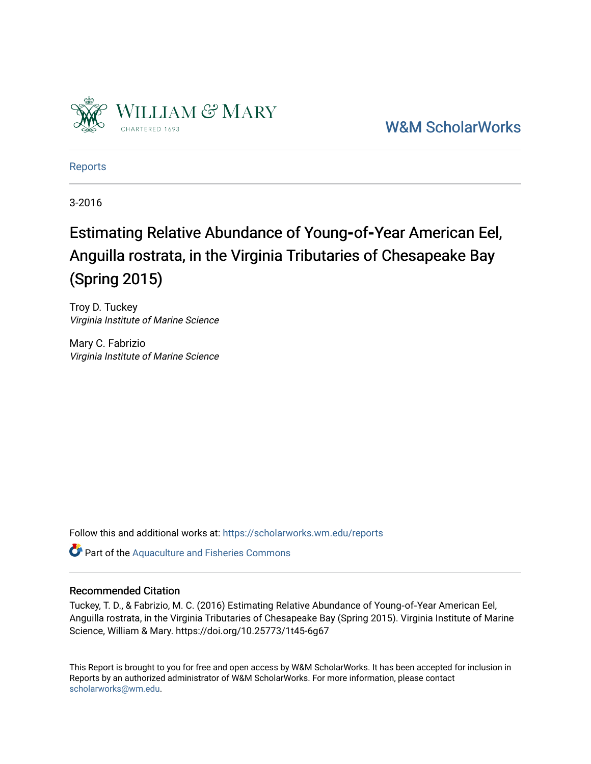

[W&M ScholarWorks](https://scholarworks.wm.edu/) 

[Reports](https://scholarworks.wm.edu/reports)

3-2016

# Estimating Relative Abundance of Young-of-Year American Eel, Anguilla rostrata, in the Virginia Tributaries of Chesapeake Bay (Spring 2015)

Troy D. Tuckey Virginia Institute of Marine Science

Mary C. Fabrizio Virginia Institute of Marine Science

Follow this and additional works at: [https://scholarworks.wm.edu/reports](https://scholarworks.wm.edu/reports?utm_source=scholarworks.wm.edu%2Freports%2F1951&utm_medium=PDF&utm_campaign=PDFCoverPages)

Part of the [Aquaculture and Fisheries Commons](http://network.bepress.com/hgg/discipline/78?utm_source=scholarworks.wm.edu%2Freports%2F1951&utm_medium=PDF&utm_campaign=PDFCoverPages)

# Recommended Citation

Tuckey, T. D., & Fabrizio, M. C. (2016) Estimating Relative Abundance of Young‐of‐Year American Eel, Anguilla rostrata, in the Virginia Tributaries of Chesapeake Bay (Spring 2015). Virginia Institute of Marine Science, William & Mary. https://doi.org/10.25773/1t45-6g67

This Report is brought to you for free and open access by W&M ScholarWorks. It has been accepted for inclusion in Reports by an authorized administrator of W&M ScholarWorks. For more information, please contact [scholarworks@wm.edu.](mailto:scholarworks@wm.edu)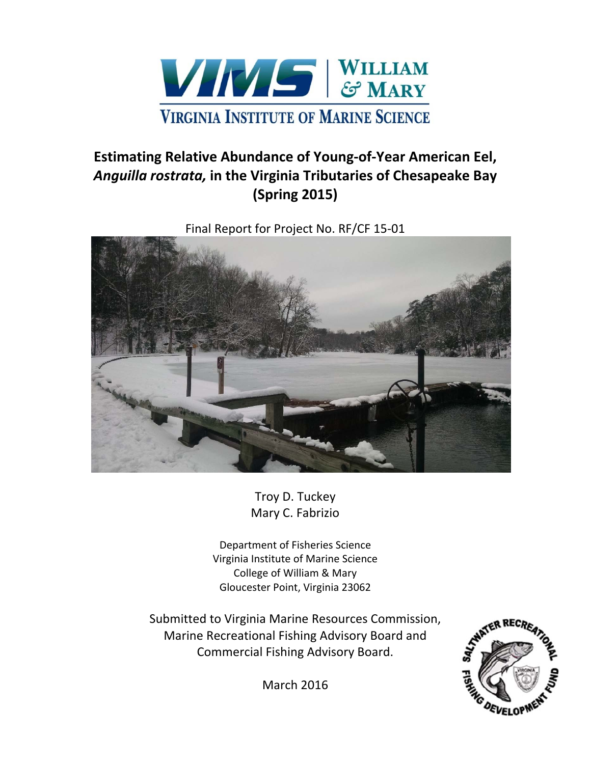

# **Estimating Relative Abundance of Young‐of‐Year American Eel,** *Anguilla rostrata,* **in the Virginia Tributaries of Chesapeake Bay (Spring 2015)**

Final Report for Project No. RF/CF 15‐01



Troy D. Tuckey Mary C. Fabrizio

Department of Fisheries Science Virginia Institute of Marine Science College of William & Mary Gloucester Point, Virginia 23062

Submitted to Virginia Marine Resources Commission, Marine Recreational Fishing Advisory Board and Commercial Fishing Advisory Board.



March 2016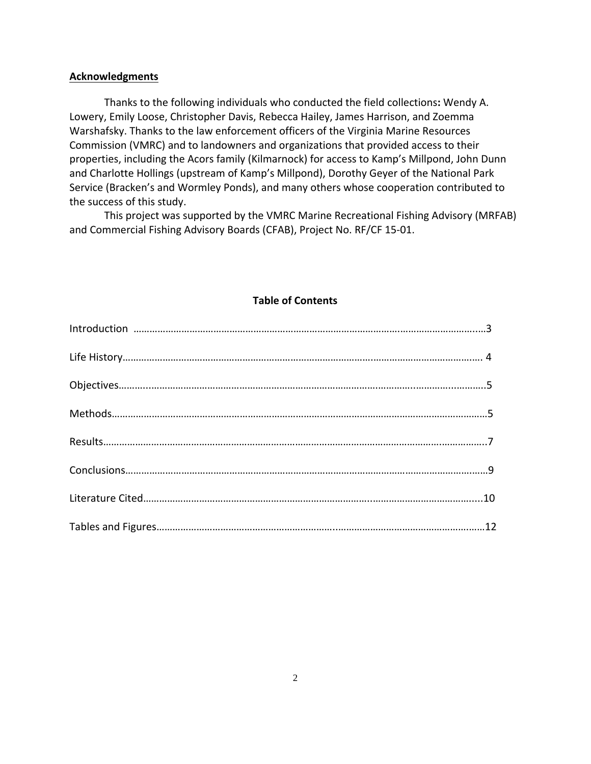# **Acknowledgments**

Thanks to the following individuals who conducted the field collections**:** Wendy A. Lowery, Emily Loose, Christopher Davis, Rebecca Hailey, James Harrison, and Zoemma Warshafsky. Thanks to the law enforcement officers of the Virginia Marine Resources Commission (VMRC) and to landowners and organizations that provided access to their properties, including the Acors family (Kilmarnock) for access to Kamp's Millpond, John Dunn and Charlotte Hollings (upstream of Kamp's Millpond), Dorothy Geyer of the National Park Service (Bracken's and Wormley Ponds), and many others whose cooperation contributed to the success of this study.

 This project was supported by the VMRC Marine Recreational Fishing Advisory (MRFAB) and Commercial Fishing Advisory Boards (CFAB), Project No. RF/CF 15‐01.

# **Table of Contents**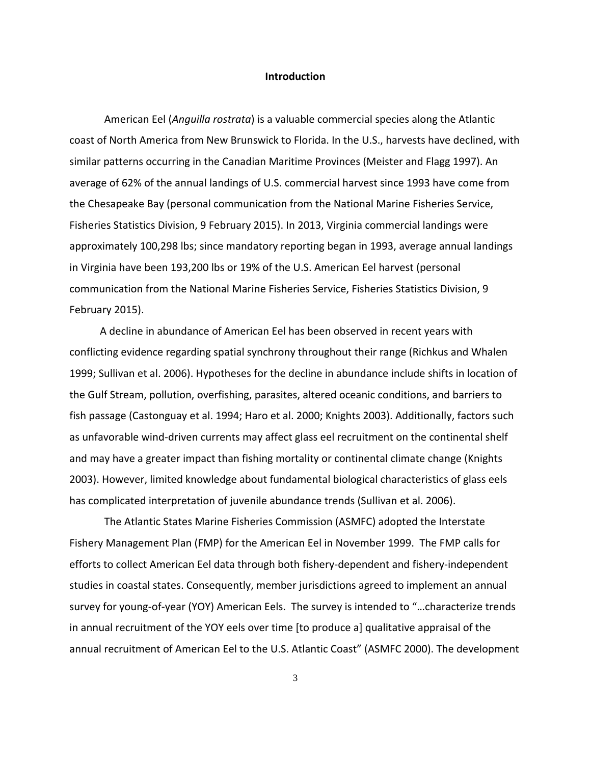#### **Introduction**

American Eel (*Anguilla rostrata*) is a valuable commercial species along the Atlantic coast of North America from New Brunswick to Florida. In the U.S., harvests have declined, with similar patterns occurring in the Canadian Maritime Provinces (Meister and Flagg 1997). An average of 62% of the annual landings of U.S. commercial harvest since 1993 have come from the Chesapeake Bay (personal communication from the National Marine Fisheries Service, Fisheries Statistics Division, 9 February 2015). In 2013, Virginia commercial landings were approximately 100,298 lbs; since mandatory reporting began in 1993, average annual landings in Virginia have been 193,200 lbs or 19% of the U.S. American Eel harvest (personal communication from the National Marine Fisheries Service, Fisheries Statistics Division, 9 February 2015).

 A decline in abundance of American Eel has been observed in recent years with conflicting evidence regarding spatial synchrony throughout their range (Richkus and Whalen 1999; Sullivan et al. 2006). Hypotheses for the decline in abundance include shifts in location of the Gulf Stream, pollution, overfishing, parasites, altered oceanic conditions, and barriers to fish passage (Castonguay et al. 1994; Haro et al. 2000; Knights 2003). Additionally, factors such as unfavorable wind‐driven currents may affect glass eel recruitment on the continental shelf and may have a greater impact than fishing mortality or continental climate change (Knights 2003). However, limited knowledge about fundamental biological characteristics of glass eels has complicated interpretation of juvenile abundance trends (Sullivan et al. 2006).

The Atlantic States Marine Fisheries Commission (ASMFC) adopted the Interstate Fishery Management Plan (FMP) for the American Eel in November 1999. The FMP calls for efforts to collect American Eel data through both fishery‐dependent and fishery‐independent studies in coastal states. Consequently, member jurisdictions agreed to implement an annual survey for young-of-year (YOY) American Eels. The survey is intended to "...characterize trends in annual recruitment of the YOY eels over time [to produce a] qualitative appraisal of the annual recruitment of American Eel to the U.S. Atlantic Coast" (ASMFC 2000). The development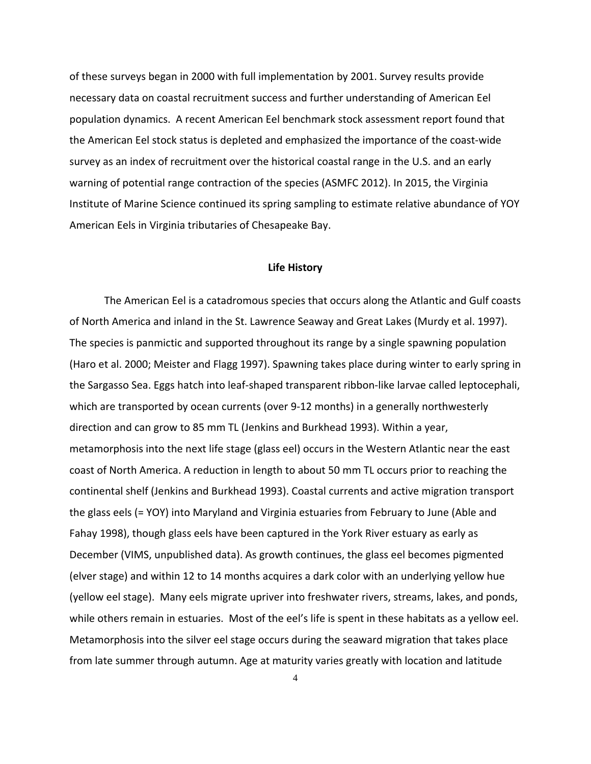of these surveys began in 2000 with full implementation by 2001. Survey results provide necessary data on coastal recruitment success and further understanding of American Eel population dynamics. A recent American Eel benchmark stock assessment report found that the American Eel stock status is depleted and emphasized the importance of the coast-wide survey as an index of recruitment over the historical coastal range in the U.S. and an early warning of potential range contraction of the species (ASMFC 2012). In 2015, the Virginia Institute of Marine Science continued its spring sampling to estimate relative abundance of YOY American Eels in Virginia tributaries of Chesapeake Bay.

#### **Life History**

The American Eel is a catadromous species that occurs along the Atlantic and Gulf coasts of North America and inland in the St. Lawrence Seaway and Great Lakes (Murdy et al. 1997). The species is panmictic and supported throughout its range by a single spawning population (Haro et al. 2000; Meister and Flagg 1997). Spawning takes place during winter to early spring in the Sargasso Sea. Eggs hatch into leaf‐shaped transparent ribbon‐like larvae called leptocephali, which are transported by ocean currents (over 9-12 months) in a generally northwesterly direction and can grow to 85 mm TL (Jenkins and Burkhead 1993). Within a year, metamorphosis into the next life stage (glass eel) occurs in the Western Atlantic near the east coast of North America. A reduction in length to about 50 mm TL occurs prior to reaching the continental shelf (Jenkins and Burkhead 1993). Coastal currents and active migration transport the glass eels (= YOY) into Maryland and Virginia estuaries from February to June (Able and Fahay 1998), though glass eels have been captured in the York River estuary as early as December (VIMS, unpublished data). As growth continues, the glass eel becomes pigmented (elver stage) and within 12 to 14 months acquires a dark color with an underlying yellow hue (yellow eel stage). Many eels migrate upriver into freshwater rivers, streams, lakes, and ponds, while others remain in estuaries. Most of the eel's life is spent in these habitats as a yellow eel. Metamorphosis into the silver eel stage occurs during the seaward migration that takes place from late summer through autumn. Age at maturity varies greatly with location and latitude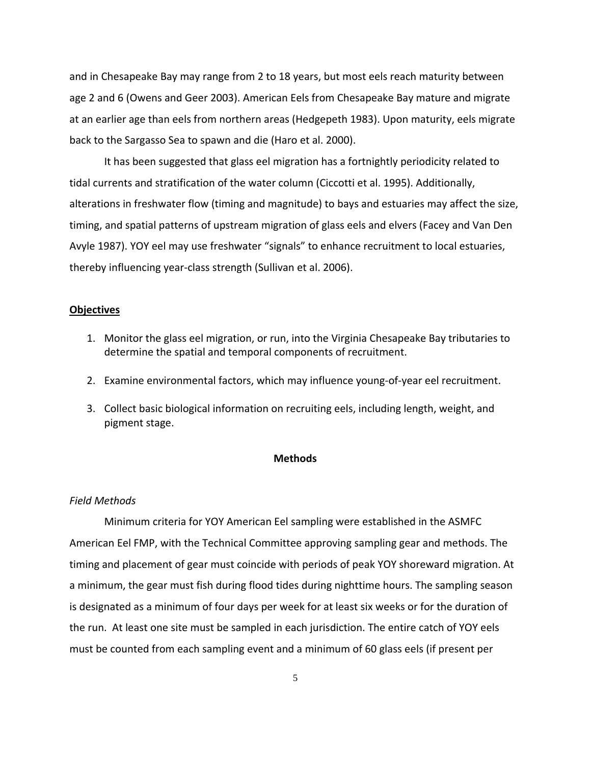and in Chesapeake Bay may range from 2 to 18 years, but most eels reach maturity between age 2 and 6 (Owens and Geer 2003). American Eels from Chesapeake Bay mature and migrate at an earlier age than eels from northern areas (Hedgepeth 1983). Upon maturity, eels migrate back to the Sargasso Sea to spawn and die (Haro et al. 2000).

It has been suggested that glass eel migration has a fortnightly periodicity related to tidal currents and stratification of the water column (Ciccotti et al. 1995). Additionally, alterations in freshwater flow (timing and magnitude) to bays and estuaries may affect the size, timing, and spatial patterns of upstream migration of glass eels and elvers (Facey and Van Den Avyle 1987). YOY eel may use freshwater "signals" to enhance recruitment to local estuaries, thereby influencing year‐class strength (Sullivan et al. 2006).

#### **Objectives**

- 1. Monitor the glass eel migration, or run, into the Virginia Chesapeake Bay tributaries to determine the spatial and temporal components of recruitment.
- 2. Examine environmental factors, which may influence young-of-year eel recruitment.
- 3. Collect basic biological information on recruiting eels, including length, weight, and pigment stage.

# **Methods**

#### *Field Methods*

Minimum criteria for YOY American Eel sampling were established in the ASMFC American Eel FMP, with the Technical Committee approving sampling gear and methods. The timing and placement of gear must coincide with periods of peak YOY shoreward migration. At a minimum, the gear must fish during flood tides during nighttime hours. The sampling season is designated as a minimum of four days per week for at least six weeks or for the duration of the run. At least one site must be sampled in each jurisdiction. The entire catch of YOY eels must be counted from each sampling event and a minimum of 60 glass eels (if present per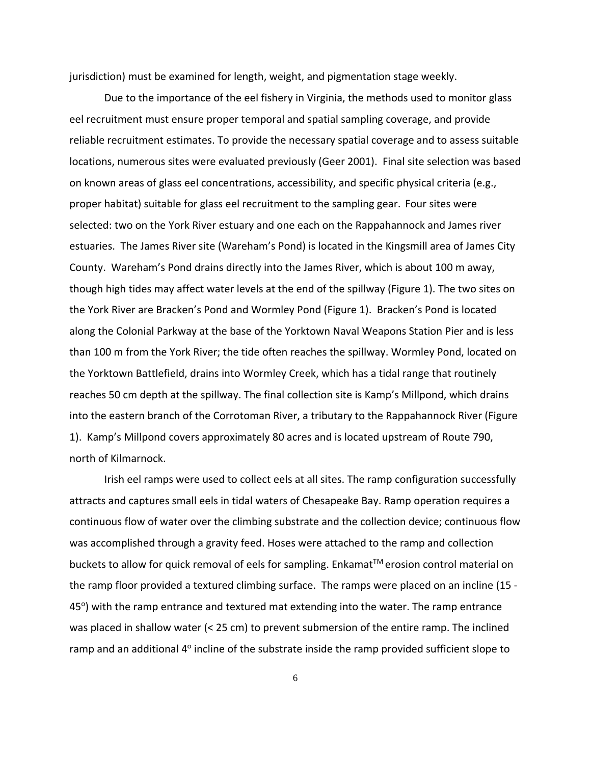jurisdiction) must be examined for length, weight, and pigmentation stage weekly.

Due to the importance of the eel fishery in Virginia, the methods used to monitor glass eel recruitment must ensure proper temporal and spatial sampling coverage, and provide reliable recruitment estimates. To provide the necessary spatial coverage and to assess suitable locations, numerous sites were evaluated previously (Geer 2001). Final site selection was based on known areas of glass eel concentrations, accessibility, and specific physical criteria (e.g., proper habitat) suitable for glass eel recruitment to the sampling gear. Four sites were selected: two on the York River estuary and one each on the Rappahannock and James river estuaries. The James River site (Wareham's Pond) is located in the Kingsmill area of James City County. Wareham's Pond drains directly into the James River, which is about 100 m away, though high tides may affect water levels at the end of the spillway (Figure 1). The two sites on the York River are Bracken's Pond and Wormley Pond (Figure 1). Bracken's Pond is located along the Colonial Parkway at the base of the Yorktown Naval Weapons Station Pier and is less than 100 m from the York River; the tide often reaches the spillway. Wormley Pond, located on the Yorktown Battlefield, drains into Wormley Creek, which has a tidal range that routinely reaches 50 cm depth at the spillway. The final collection site is Kamp's Millpond, which drains into the eastern branch of the Corrotoman River, a tributary to the Rappahannock River (Figure 1). Kamp's Millpond covers approximately 80 acres and is located upstream of Route 790, north of Kilmarnock.

Irish eel ramps were used to collect eels at all sites. The ramp configuration successfully attracts and captures small eels in tidal waters of Chesapeake Bay. Ramp operation requires a continuous flow of water over the climbing substrate and the collection device; continuous flow was accomplished through a gravity feed. Hoses were attached to the ramp and collection buckets to allow for quick removal of eels for sampling. Enkamat™ erosion control material on the ramp floor provided a textured climbing surface. The ramps were placed on an incline (15 - $45^\circ$ ) with the ramp entrance and textured mat extending into the water. The ramp entrance was placed in shallow water (< 25 cm) to prevent submersion of the entire ramp. The inclined ramp and an additional 4<sup>o</sup> incline of the substrate inside the ramp provided sufficient slope to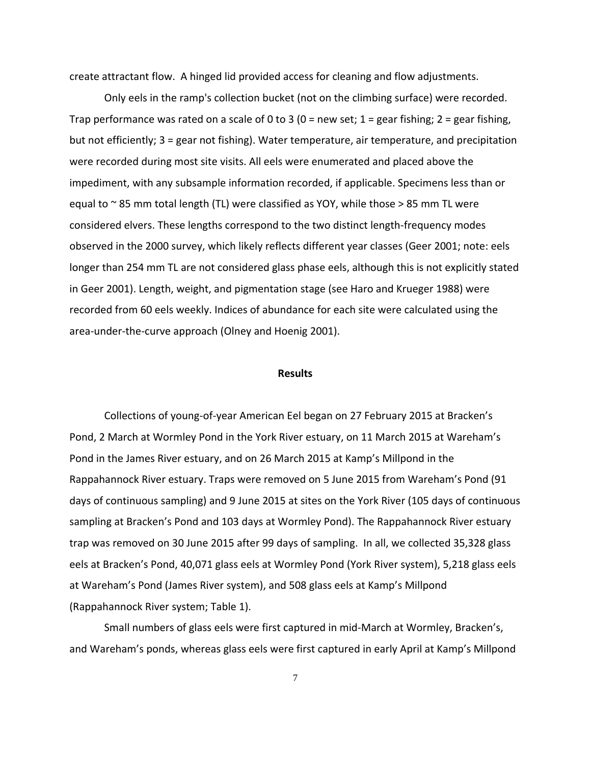create attractant flow. A hinged lid provided access for cleaning and flow adjustments.

Only eels in the ramp's collection bucket (not on the climbing surface) were recorded. Trap performance was rated on a scale of 0 to 3 (0 = new set; 1 = gear fishing; 2 = gear fishing, but not efficiently; 3 = gear not fishing). Water temperature, air temperature, and precipitation were recorded during most site visits. All eels were enumerated and placed above the impediment, with any subsample information recorded, if applicable. Specimens less than or equal to  $\sim$  85 mm total length (TL) were classified as YOY, while those  $>$  85 mm TL were considered elvers. These lengths correspond to the two distinct length‐frequency modes observed in the 2000 survey, which likely reflects different year classes (Geer 2001; note: eels longer than 254 mm TL are not considered glass phase eels, although this is not explicitly stated in Geer 2001). Length, weight, and pigmentation stage (see Haro and Krueger 1988) were recorded from 60 eels weekly. Indices of abundance for each site were calculated using the area‐under‐the‐curve approach (Olney and Hoenig 2001).

#### **Results**

Collections of young‐of‐year American Eel began on 27 February 2015 at Bracken's Pond, 2 March at Wormley Pond in the York River estuary, on 11 March 2015 at Wareham's Pond in the James River estuary, and on 26 March 2015 at Kamp's Millpond in the Rappahannock River estuary. Traps were removed on 5 June 2015 from Wareham's Pond (91 days of continuous sampling) and 9 June 2015 at sites on the York River (105 days of continuous sampling at Bracken's Pond and 103 days at Wormley Pond). The Rappahannock River estuary trap was removed on 30 June 2015 after 99 days of sampling. In all, we collected 35,328 glass eels at Bracken's Pond, 40,071 glass eels at Wormley Pond (York River system), 5,218 glass eels at Wareham's Pond (James River system), and 508 glass eels at Kamp's Millpond (Rappahannock River system; Table 1).

Small numbers of glass eels were first captured in mid‐March at Wormley, Bracken's, and Wareham's ponds, whereas glass eels were first captured in early April at Kamp's Millpond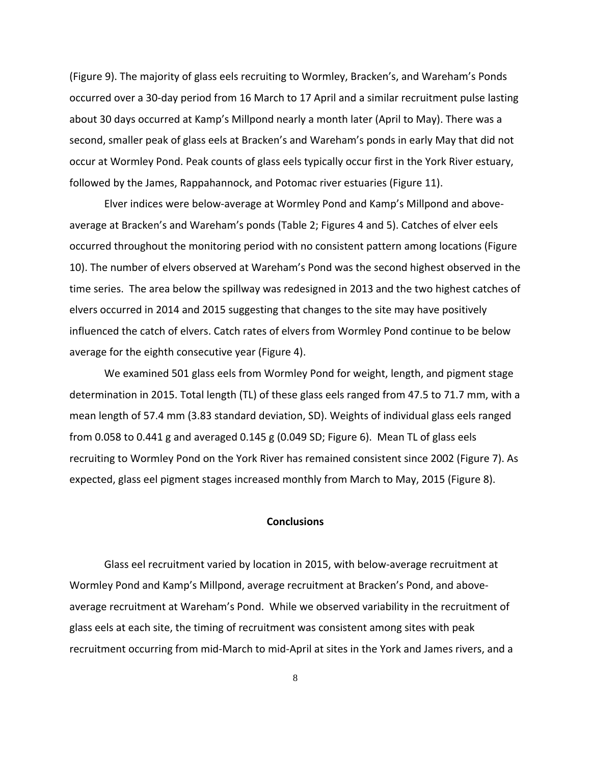(Figure 9). The majority of glass eels recruiting to Wormley, Bracken's, and Wareham's Ponds occurred over a 30‐day period from 16 March to 17 April and a similar recruitment pulse lasting about 30 days occurred at Kamp's Millpond nearly a month later (April to May). There was a second, smaller peak of glass eels at Bracken's and Wareham's ponds in early May that did not occur at Wormley Pond. Peak counts of glass eels typically occur first in the York River estuary, followed by the James, Rappahannock, and Potomac river estuaries (Figure 11).

Elver indices were below‐average at Wormley Pond and Kamp's Millpond and above‐ average at Bracken's and Wareham's ponds (Table 2; Figures 4 and 5). Catches of elver eels occurred throughout the monitoring period with no consistent pattern among locations (Figure 10). The number of elvers observed at Wareham's Pond was the second highest observed in the time series. The area below the spillway was redesigned in 2013 and the two highest catches of elvers occurred in 2014 and 2015 suggesting that changes to the site may have positively influenced the catch of elvers. Catch rates of elvers from Wormley Pond continue to be below average for the eighth consecutive year (Figure 4).

We examined 501 glass eels from Wormley Pond for weight, length, and pigment stage determination in 2015. Total length (TL) of these glass eels ranged from 47.5 to 71.7 mm, with a mean length of 57.4 mm (3.83 standard deviation, SD). Weights of individual glass eels ranged from 0.058 to 0.441 g and averaged 0.145 g (0.049 SD; Figure 6). Mean TL of glass eels recruiting to Wormley Pond on the York River has remained consistent since 2002 (Figure 7). As expected, glass eel pigment stages increased monthly from March to May, 2015 (Figure 8).

### **Conclusions**

Glass eel recruitment varied by location in 2015, with below‐average recruitment at Wormley Pond and Kamp's Millpond, average recruitment at Bracken's Pond, and above‐ average recruitment at Wareham's Pond. While we observed variability in the recruitment of glass eels at each site, the timing of recruitment was consistent among sites with peak recruitment occurring from mid‐March to mid‐April at sites in the York and James rivers, and a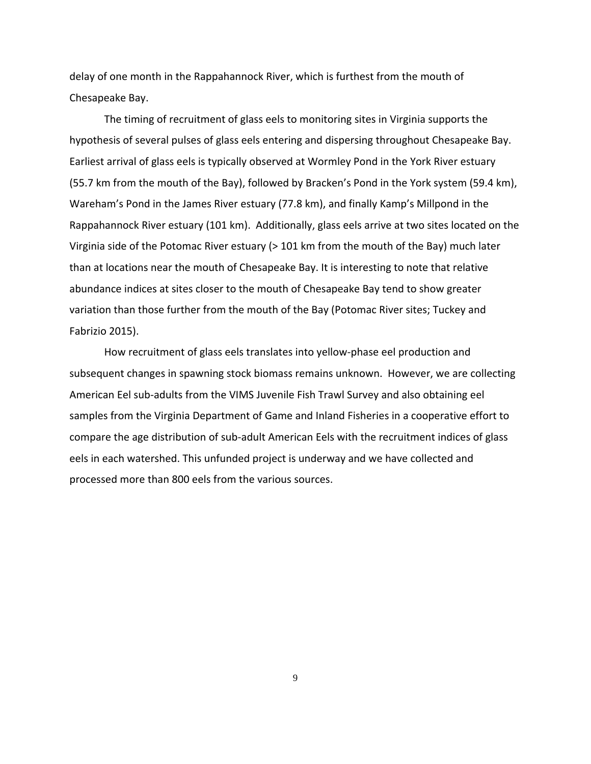delay of one month in the Rappahannock River, which is furthest from the mouth of Chesapeake Bay.

The timing of recruitment of glass eels to monitoring sites in Virginia supports the hypothesis of several pulses of glass eels entering and dispersing throughout Chesapeake Bay. Earliest arrival of glass eels is typically observed at Wormley Pond in the York River estuary (55.7 km from the mouth of the Bay), followed by Bracken's Pond in the York system (59.4 km), Wareham's Pond in the James River estuary (77.8 km), and finally Kamp's Millpond in the Rappahannock River estuary (101 km). Additionally, glass eels arrive at two sites located on the Virginia side of the Potomac River estuary (> 101 km from the mouth of the Bay) much later than at locations near the mouth of Chesapeake Bay. It is interesting to note that relative abundance indices at sites closer to the mouth of Chesapeake Bay tend to show greater variation than those further from the mouth of the Bay (Potomac River sites; Tuckey and Fabrizio 2015).

How recruitment of glass eels translates into yellow‐phase eel production and subsequent changes in spawning stock biomass remains unknown. However, we are collecting American Eel sub‐adults from the VIMS Juvenile Fish Trawl Survey and also obtaining eel samples from the Virginia Department of Game and Inland Fisheries in a cooperative effort to compare the age distribution of sub‐adult American Eels with the recruitment indices of glass eels in each watershed. This unfunded project is underway and we have collected and processed more than 800 eels from the various sources.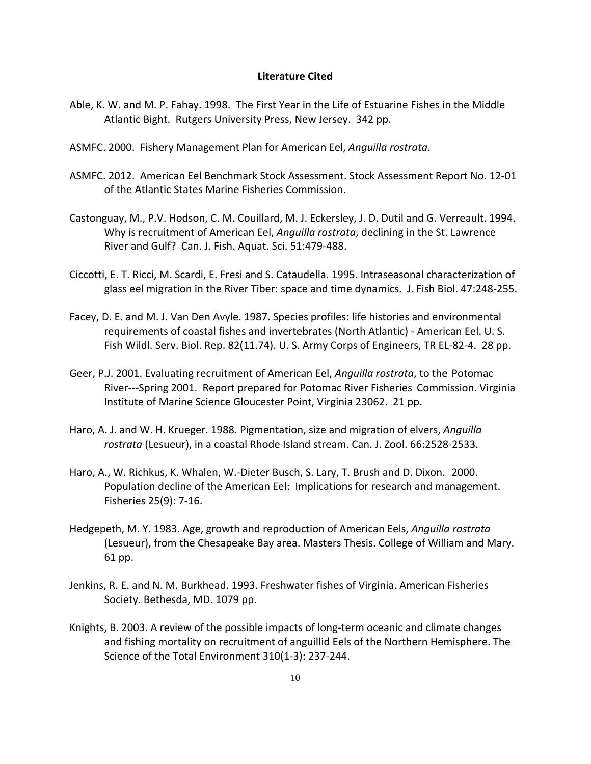#### **Literature Cited**

- Able, K. W. and M. P. Fahay. 1998. The First Year in the Life of Estuarine Fishes in the Middle Atlantic Bight. Rutgers University Press, New Jersey. 342 pp.
- ASMFC. 2000. Fishery Management Plan for American Eel, *Anguilla rostrata*.
- ASMFC. 2012. American Eel Benchmark Stock Assessment. Stock Assessment Report No. 12‐01 of the Atlantic States Marine Fisheries Commission.
- Castonguay, M., P.V. Hodson, C. M. Couillard, M. J. Eckersley, J. D. Dutil and G. Verreault. 1994. Why is recruitment of American Eel, *Anguilla rostrata*, declining in the St. Lawrence River and Gulf? Can. J. Fish. Aquat. Sci. 51:479‐488.
- Ciccotti, E. T. Ricci, M. Scardi, E. Fresi and S. Cataudella. 1995. Intraseasonal characterization of glass eel migration in the River Tiber: space and time dynamics. J. Fish Biol. 47:248‐255.
- Facey, D. E. and M. J. Van Den Avyle. 1987. Species profiles: life histories and environmental requirements of coastal fishes and invertebrates (North Atlantic) ‐ American Eel. U. S. Fish Wildl. Serv. Biol. Rep. 82(11.74). U. S. Army Corps of Engineers, TR EL‐82‐4. 28 pp.
- Geer, P.J. 2001. Evaluating recruitment of American Eel, *Anguilla rostrata*, to the Potomac River‐‐‐Spring 2001. Report prepared for Potomac River Fisheries Commission. Virginia Institute of Marine Science Gloucester Point, Virginia 23062. 21 pp.
- Haro, A. J. and W. H. Krueger. 1988. Pigmentation, size and migration of elvers, *Anguilla rostrata* (Lesueur), in a coastal Rhode Island stream. Can. J. Zool. 66:2528‐2533.
- Haro, A., W. Richkus, K. Whalen, W.‐Dieter Busch, S. Lary, T. Brush and D. Dixon. 2000. Population decline of the American Eel: Implications for research and management. Fisheries 25(9): 7‐16.
- Hedgepeth, M. Y. 1983. Age, growth and reproduction of American Eels, *Anguilla rostrata* (Lesueur), from the Chesapeake Bay area. Masters Thesis. College of William and Mary. 61 pp.
- Jenkins, R. E. and N. M. Burkhead. 1993. Freshwater fishes of Virginia. American Fisheries Society. Bethesda, MD. 1079 pp.
- Knights, B. 2003. A review of the possible impacts of long‐term oceanic and climate changes and fishing mortality on recruitment of anguillid Eels of the Northern Hemisphere. The Science of the Total Environment 310(1‐3): 237‐244.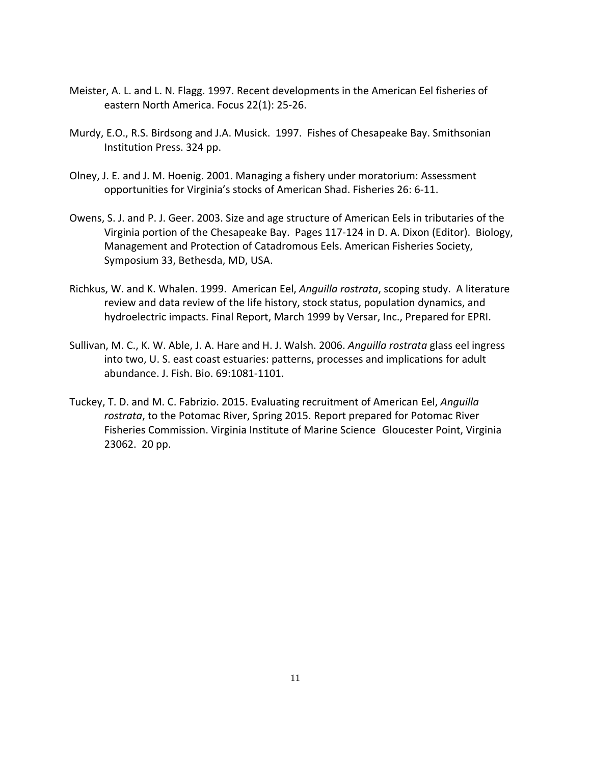- Meister, A. L. and L. N. Flagg. 1997. Recent developments in the American Eel fisheries of eastern North America. Focus 22(1): 25‐26.
- Murdy, E.O., R.S. Birdsong and J.A. Musick. 1997. Fishes of Chesapeake Bay. Smithsonian Institution Press. 324 pp.
- Olney, J. E. and J. M. Hoenig. 2001. Managing a fishery under moratorium: Assessment opportunities for Virginia's stocks of American Shad. Fisheries 26: 6‐11.
- Owens, S. J. and P. J. Geer. 2003. Size and age structure of American Eels in tributaries of the Virginia portion of the Chesapeake Bay. Pages 117‐124 in D. A. Dixon (Editor). Biology, Management and Protection of Catadromous Eels. American Fisheries Society, Symposium 33, Bethesda, MD, USA.
- Richkus, W. and K. Whalen. 1999. American Eel, *Anguilla rostrata*, scoping study. A literature review and data review of the life history, stock status, population dynamics, and hydroelectric impacts. Final Report, March 1999 by Versar, Inc., Prepared for EPRI.
- Sullivan, M. C., K. W. Able, J. A. Hare and H. J. Walsh. 2006. *Anguilla rostrata* glass eel ingress into two, U. S. east coast estuaries: patterns, processes and implications for adult abundance. J. Fish. Bio. 69:1081‐1101.
- Tuckey, T. D. and M. C. Fabrizio. 2015. Evaluating recruitment of American Eel, *Anguilla rostrata*, to the Potomac River, Spring 2015. Report prepared for Potomac River Fisheries Commission. Virginia Institute of Marine Science Gloucester Point, Virginia 23062. 20 pp.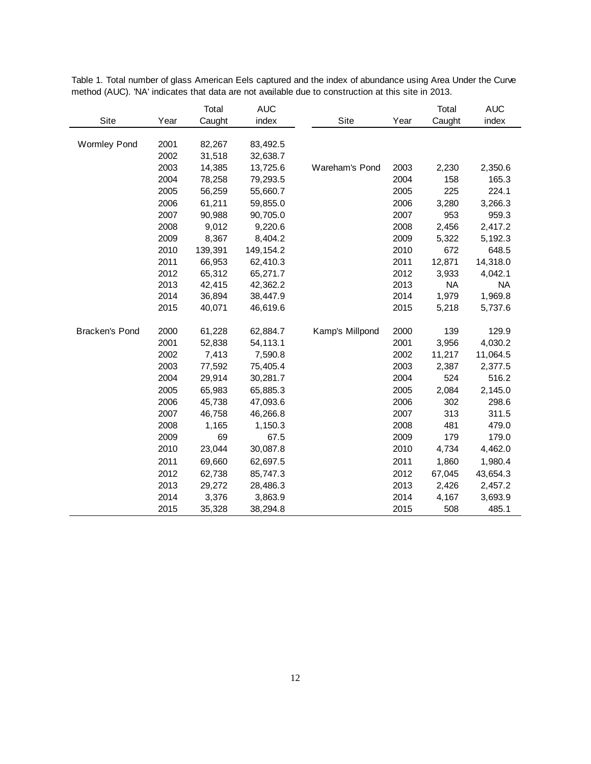|                       |      | Total   | <b>AUC</b> |                 |      | Total     | <b>AUC</b> |
|-----------------------|------|---------|------------|-----------------|------|-----------|------------|
| Site                  | Year | Caught  | index      | Site            | Year | Caught    | index      |
|                       |      |         |            |                 |      |           |            |
| <b>Wormley Pond</b>   | 2001 | 82,267  | 83,492.5   |                 |      |           |            |
|                       | 2002 | 31,518  | 32,638.7   |                 |      |           |            |
|                       | 2003 | 14,385  | 13,725.6   | Wareham's Pond  | 2003 | 2,230     | 2,350.6    |
|                       | 2004 | 78,258  | 79,293.5   |                 | 2004 | 158       | 165.3      |
|                       | 2005 | 56,259  | 55,660.7   |                 | 2005 | 225       | 224.1      |
|                       | 2006 | 61,211  | 59,855.0   |                 | 2006 | 3,280     | 3,266.3    |
|                       | 2007 | 90,988  | 90,705.0   |                 | 2007 | 953       | 959.3      |
|                       | 2008 | 9,012   | 9,220.6    |                 | 2008 | 2,456     | 2,417.2    |
|                       | 2009 | 8,367   | 8,404.2    |                 | 2009 | 5,322     | 5,192.3    |
|                       | 2010 | 139,391 | 149, 154.2 |                 | 2010 | 672       | 648.5      |
|                       | 2011 | 66,953  | 62,410.3   |                 | 2011 | 12,871    | 14,318.0   |
|                       | 2012 | 65,312  | 65,271.7   |                 | 2012 | 3,933     | 4,042.1    |
|                       | 2013 | 42,415  | 42,362.2   |                 | 2013 | <b>NA</b> | <b>NA</b>  |
|                       | 2014 | 36,894  | 38,447.9   |                 | 2014 | 1,979     | 1,969.8    |
|                       | 2015 | 40,071  | 46,619.6   |                 | 2015 | 5,218     | 5,737.6    |
|                       |      |         |            |                 |      |           |            |
| <b>Bracken's Pond</b> | 2000 | 61,228  | 62,884.7   | Kamp's Millpond | 2000 | 139       | 129.9      |
|                       | 2001 | 52,838  | 54,113.1   |                 | 2001 | 3,956     | 4,030.2    |
|                       | 2002 | 7,413   | 7,590.8    |                 | 2002 | 11,217    | 11,064.5   |
|                       | 2003 | 77,592  | 75,405.4   |                 | 2003 | 2,387     | 2,377.5    |
|                       | 2004 | 29,914  | 30,281.7   |                 | 2004 | 524       | 516.2      |
|                       | 2005 | 65,983  | 65,885.3   |                 | 2005 | 2,084     | 2,145.0    |
|                       | 2006 | 45,738  | 47,093.6   |                 | 2006 | 302       | 298.6      |
|                       | 2007 | 46,758  | 46,266.8   |                 | 2007 | 313       | 311.5      |
|                       | 2008 | 1,165   | 1,150.3    |                 | 2008 | 481       | 479.0      |
|                       | 2009 | 69      | 67.5       |                 | 2009 | 179       | 179.0      |
|                       | 2010 | 23,044  | 30,087.8   |                 | 2010 | 4,734     | 4,462.0    |
|                       | 2011 | 69,660  | 62,697.5   |                 | 2011 | 1,860     | 1,980.4    |
|                       | 2012 | 62,738  | 85,747.3   |                 | 2012 | 67,045    | 43,654.3   |
|                       | 2013 | 29,272  | 28,486.3   |                 | 2013 | 2,426     | 2,457.2    |
|                       | 2014 | 3,376   | 3,863.9    |                 | 2014 | 4,167     | 3,693.9    |
|                       | 2015 | 35,328  | 38,294.8   |                 | 2015 | 508       | 485.1      |

Table 1. Total number of glass American Eels captured and the index of abundance using Area Under the Curve method (AUC). 'NA' indicates that data are not available due to construction at this site in 2013.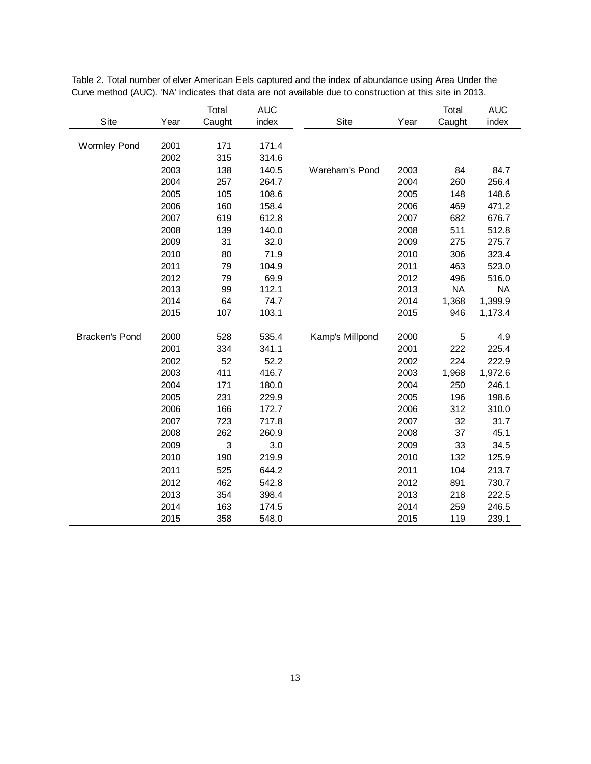|                     |      | Total  | <b>AUC</b> |                 |      | Total     | <b>AUC</b> |
|---------------------|------|--------|------------|-----------------|------|-----------|------------|
| Site                | Year | Caught | index      | Site            | Year | Caught    | index      |
|                     |      |        |            |                 |      |           |            |
| <b>Wormley Pond</b> | 2001 | 171    | 171.4      |                 |      |           |            |
|                     | 2002 | 315    | 314.6      |                 |      |           |            |
|                     | 2003 | 138    | 140.5      | Wareham's Pond  | 2003 | 84        | 84.7       |
|                     | 2004 | 257    | 264.7      |                 | 2004 | 260       | 256.4      |
|                     | 2005 | 105    | 108.6      |                 | 2005 | 148       | 148.6      |
|                     | 2006 | 160    | 158.4      |                 | 2006 | 469       | 471.2      |
|                     | 2007 | 619    | 612.8      |                 | 2007 | 682       | 676.7      |
|                     | 2008 | 139    | 140.0      |                 | 2008 | 511       | 512.8      |
|                     | 2009 | 31     | 32.0       |                 | 2009 | 275       | 275.7      |
|                     | 2010 | 80     | 71.9       |                 | 2010 | 306       | 323.4      |
|                     | 2011 | 79     | 104.9      |                 | 2011 | 463       | 523.0      |
|                     | 2012 | 79     | 69.9       |                 | 2012 | 496       | 516.0      |
|                     | 2013 | 99     | 112.1      |                 | 2013 | <b>NA</b> | <b>NA</b>  |
|                     | 2014 | 64     | 74.7       |                 | 2014 | 1,368     | 1,399.9    |
|                     | 2015 | 107    | 103.1      |                 | 2015 | 946       | 1,173.4    |
|                     |      |        |            |                 |      |           |            |
| Bracken's Pond      | 2000 | 528    | 535.4      | Kamp's Millpond | 2000 | 5         | 4.9        |
|                     | 2001 | 334    | 341.1      |                 | 2001 | 222       | 225.4      |
|                     | 2002 | 52     | 52.2       |                 | 2002 | 224       | 222.9      |
|                     | 2003 | 411    | 416.7      |                 | 2003 | 1,968     | 1,972.6    |
|                     | 2004 | 171    | 180.0      |                 | 2004 | 250       | 246.1      |
|                     | 2005 | 231    | 229.9      |                 | 2005 | 196       | 198.6      |
|                     | 2006 | 166    | 172.7      |                 | 2006 | 312       | 310.0      |
|                     | 2007 | 723    | 717.8      |                 | 2007 | 32        | 31.7       |
|                     | 2008 | 262    | 260.9      |                 | 2008 | 37        | 45.1       |
|                     | 2009 | 3      | 3.0        |                 | 2009 | 33        | 34.5       |
|                     | 2010 | 190    | 219.9      |                 | 2010 | 132       | 125.9      |
|                     | 2011 | 525    | 644.2      |                 | 2011 | 104       | 213.7      |
|                     | 2012 | 462    | 542.8      |                 | 2012 | 891       | 730.7      |
|                     | 2013 | 354    | 398.4      |                 | 2013 | 218       | 222.5      |
|                     | 2014 | 163    | 174.5      |                 | 2014 | 259       | 246.5      |
|                     | 2015 | 358    | 548.0      |                 | 2015 | 119       | 239.1      |

Table 2. Total number of elver American Eels captured and the index of abundance using Area Under the Curve method (AUC). 'NA' indicates that data are not available due to construction at this site in 2013.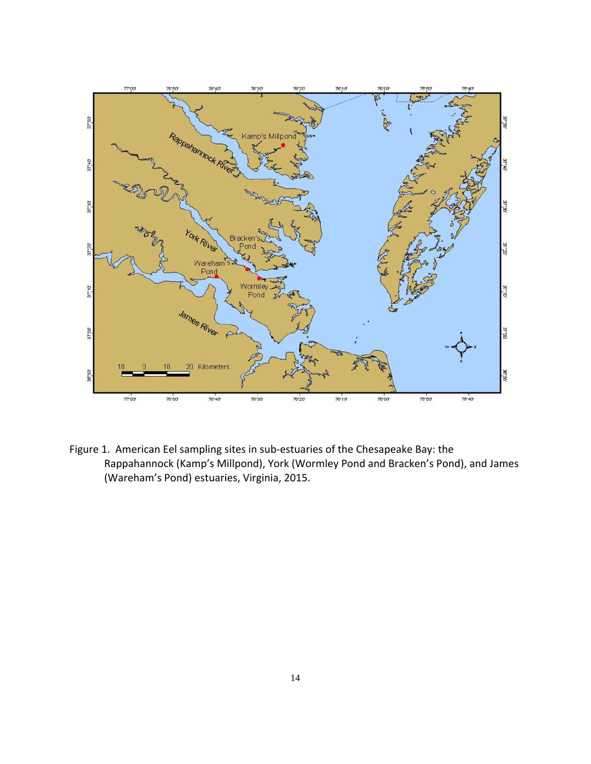

Figure 1. American Eel sampling sites in sub‐estuaries of the Chesapeake Bay: the Rappahannock (Kamp's Millpond), York (Wormley Pond and Bracken's Pond), and James (Wareham's Pond) estuaries, Virginia, 2015.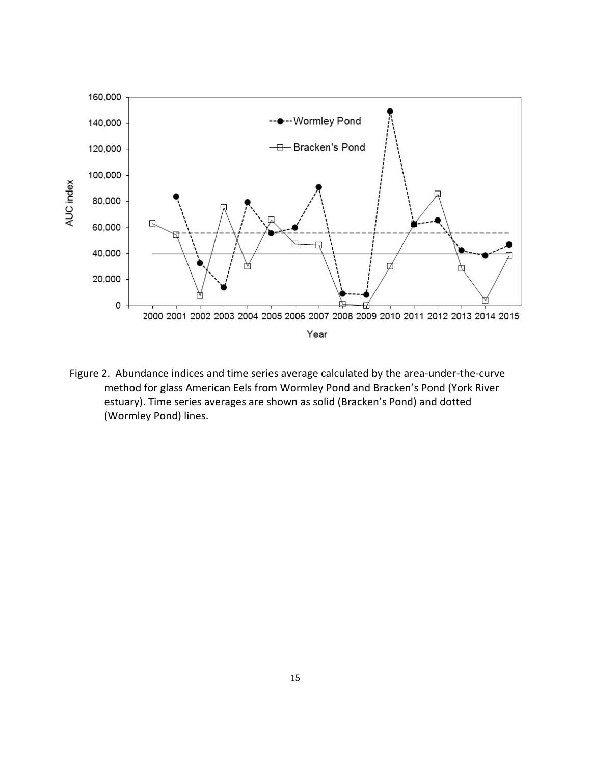

Figure 2. Abundance indices and time series average calculated by the area-under-the-curve method for glass American Eels from Wormley Pond and Bracken's Pond (York River estuary). Time series averages are shown as solid (Bracken's Pond) and dotted (Wormley Pond) lines.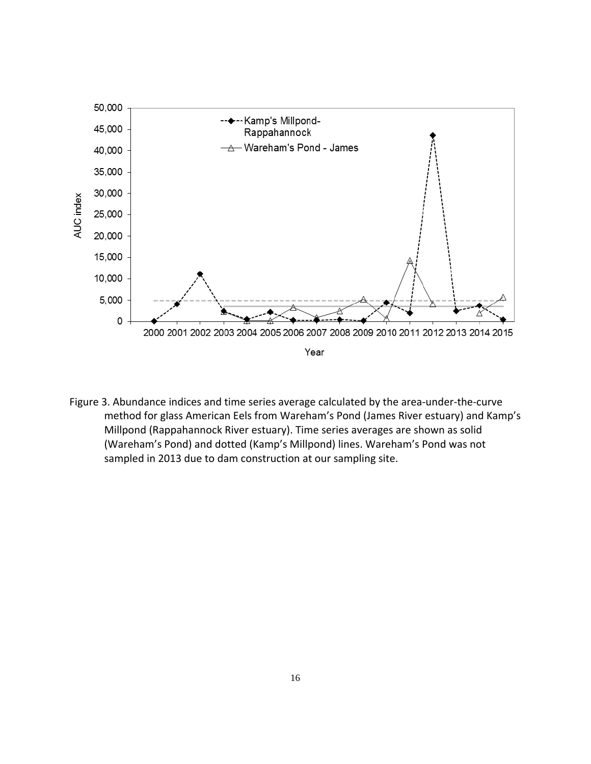![](_page_16_Figure_0.jpeg)

Figure 3. Abundance indices and time series average calculated by the area-under-the-curve method for glass American Eels from Wareham's Pond (James River estuary) and Kamp's Millpond (Rappahannock River estuary). Time series averages are shown as solid (Wareham's Pond) and dotted (Kamp's Millpond) lines. Wareham's Pond was not sampled in 2013 due to dam construction at our sampling site.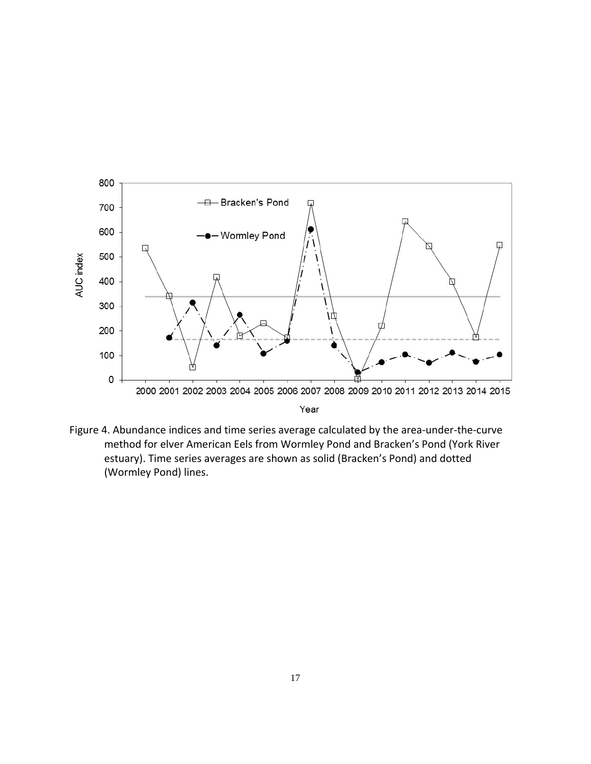![](_page_17_Figure_0.jpeg)

Figure 4. Abundance indices and time series average calculated by the area-under-the-curve method for elver American Eels from Wormley Pond and Bracken's Pond (York River estuary). Time series averages are shown as solid (Bracken's Pond) and dotted (Wormley Pond) lines.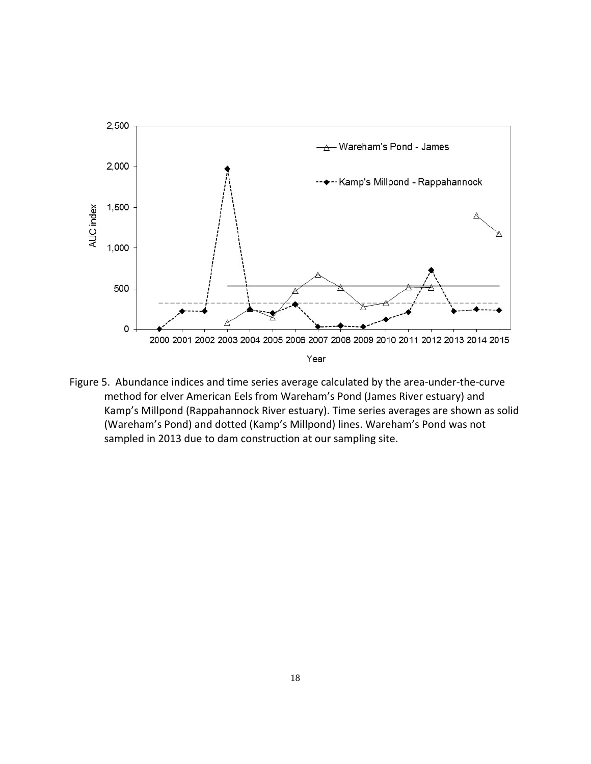![](_page_18_Figure_0.jpeg)

Figure 5. Abundance indices and time series average calculated by the area-under-the-curve method for elver American Eels from Wareham's Pond (James River estuary) and Kamp's Millpond (Rappahannock River estuary). Time series averages are shown as solid (Wareham's Pond) and dotted (Kamp's Millpond) lines. Wareham's Pond was not sampled in 2013 due to dam construction at our sampling site.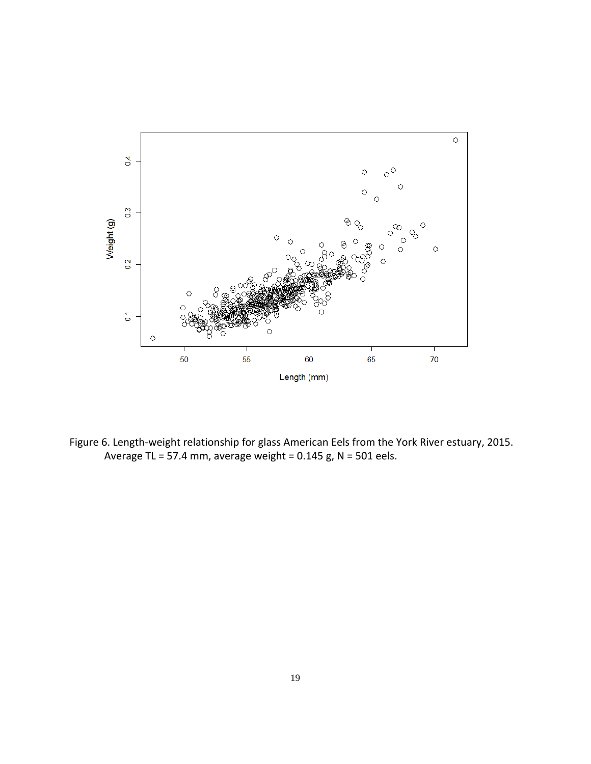![](_page_19_Figure_0.jpeg)

Figure 6. Length‐weight relationship for glass American Eels from the York River estuary, 2015. Average TL = 57.4 mm, average weight =  $0.145$  g, N =  $501$  eels.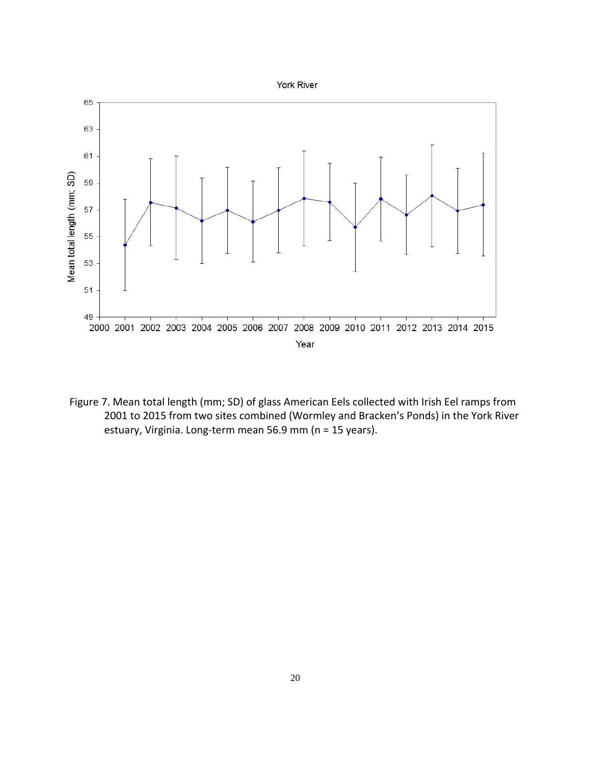![](_page_20_Figure_0.jpeg)

Figure 7. Mean total length (mm; SD) of glass American Eels collected with Irish Eel ramps from 2001 to 2015 from two sites combined (Wormley and Bracken's Ponds) in the York River estuary, Virginia. Long‐term mean 56.9 mm (n = 15 years).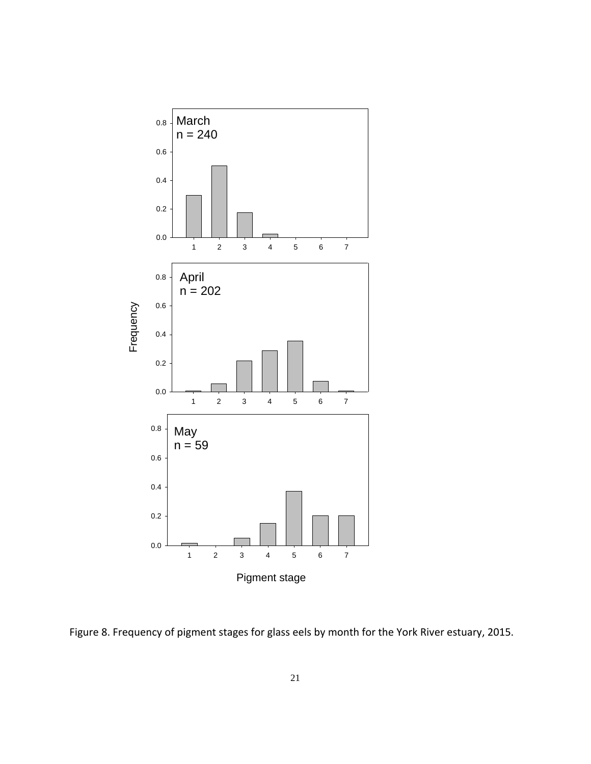![](_page_21_Figure_0.jpeg)

Figure 8. Frequency of pigment stages for glass eels by month for the York River estuary, 2015.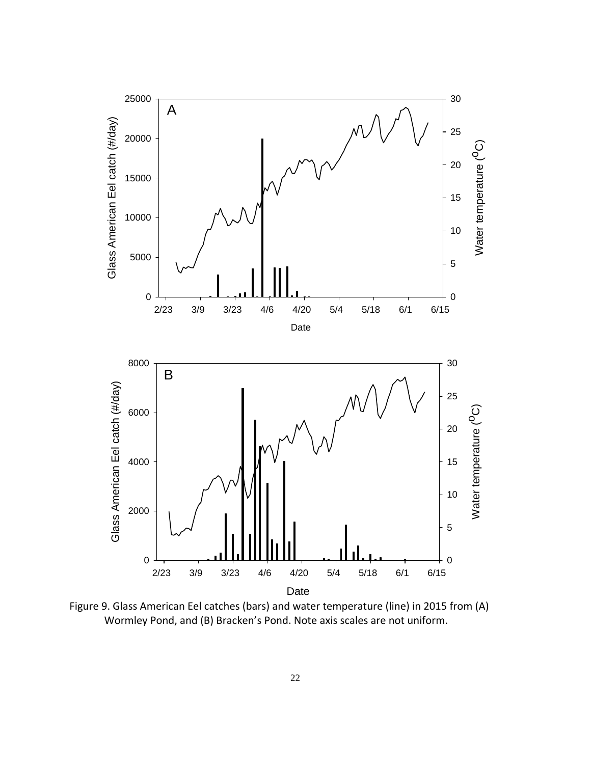![](_page_22_Figure_0.jpeg)

Figure 9. Glass American Eel catches (bars) and water temperature (line) in 2015 from (A) Wormley Pond, and (B) Bracken's Pond. Note axis scales are not uniform.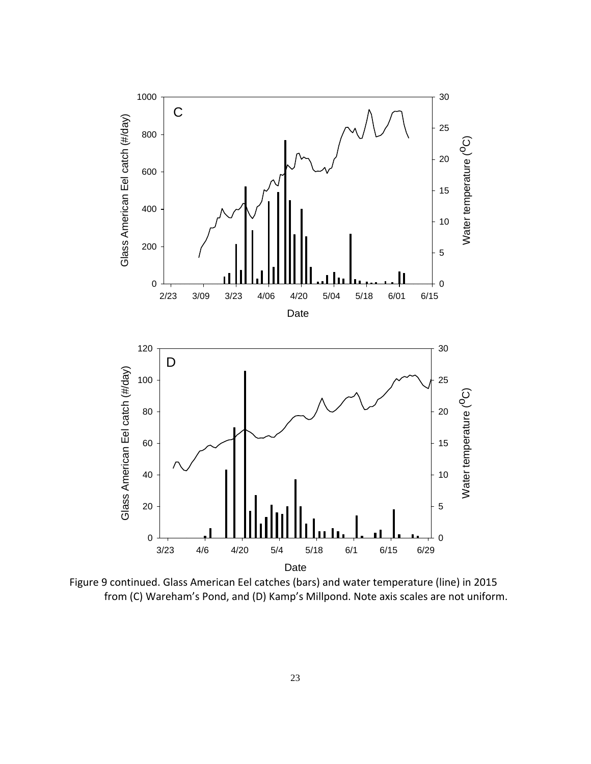![](_page_23_Figure_0.jpeg)

Figure 9 continued. Glass American Eel catches (bars) and water temperature (line) in 2015 from (C) Wareham's Pond, and (D) Kamp's Millpond. Note axis scales are not uniform.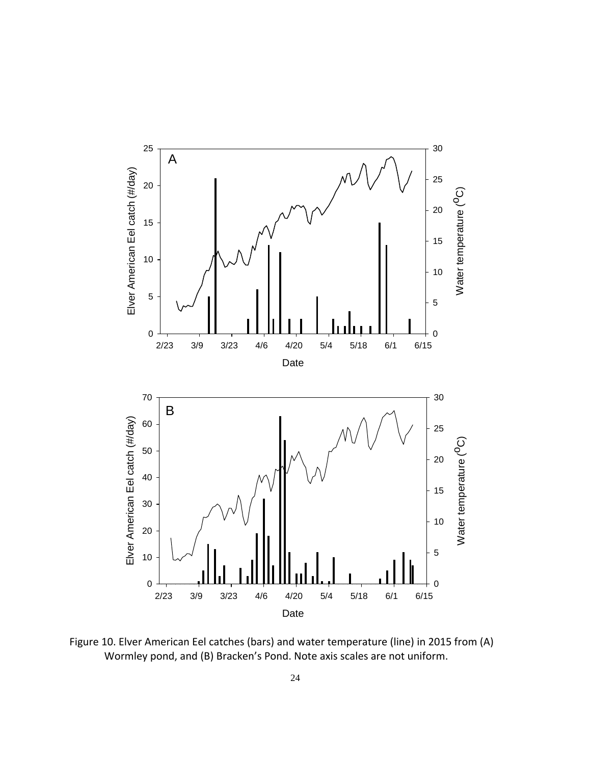![](_page_24_Figure_0.jpeg)

Figure 10. Elver American Eel catches (bars) and water temperature (line) in 2015 from (A) Wormley pond, and (B) Bracken's Pond. Note axis scales are not uniform.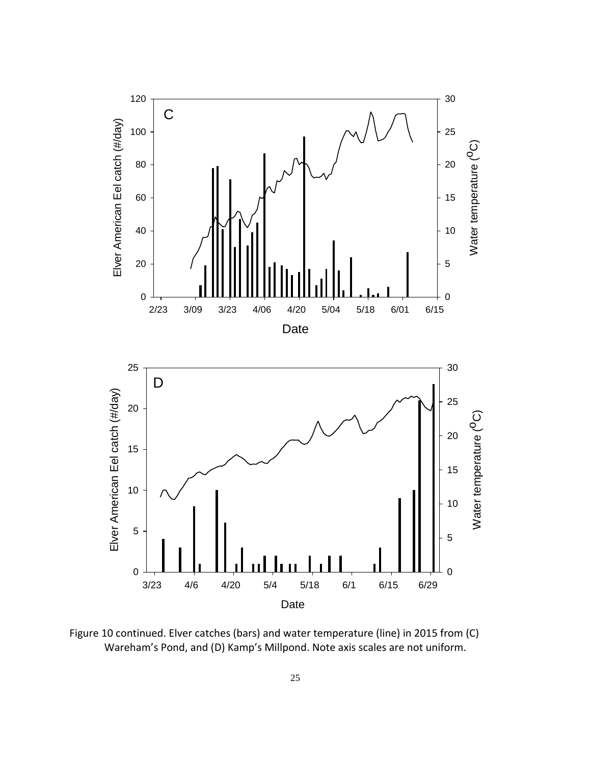![](_page_25_Figure_0.jpeg)

![](_page_25_Figure_1.jpeg)

Figure 10 continued. Elver catches (bars) and water temperature (line) in 2015 from (C) Wareham's Pond, and (D) Kamp's Millpond. Note axis scales are not uniform.